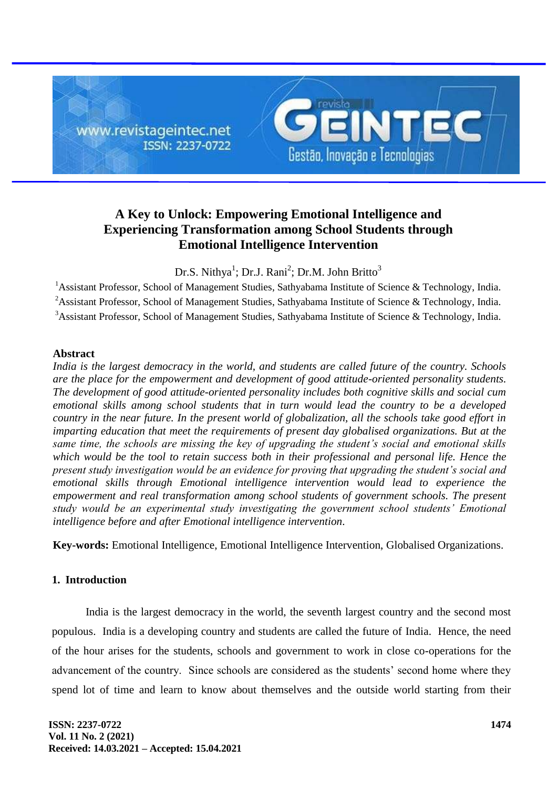

# **A Key to Unlock: Empowering Emotional Intelligence and Experiencing Transformation among School Students through Emotional Intelligence Intervention**

Dr.S. Nithya<sup>1</sup>; Dr.J. Rani<sup>2</sup>; Dr.M. John Britto<sup>3</sup>

<sup>1</sup> Assistant Professor, School of Management Studies, Sathyabama Institute of Science & Technology, India. <sup>2</sup>Assistant Professor, School of Management Studies, Sathyabama Institute of Science & Technology, India. <sup>3</sup>Assistant Professor, School of Management Studies, Sathyabama Institute of Science & Technology, India.

## **Abstract**

*India is the largest democracy in the world, and students are called future of the country. Schools are the place for the empowerment and development of good attitude-oriented personality students. The development of good attitude-oriented personality includes both cognitive skills and social cum emotional skills among school students that in turn would lead the country to be a developed country in the near future. In the present world of globalization, all the schools take good effort in imparting education that meet the requirements of present day globalised organizations. But at the same time, the schools are missing the key of upgrading the student's social and emotional skills which would be the tool to retain success both in their professional and personal life. Hence the present study investigation would be an evidence for proving that upgrading the student's social and emotional skills through Emotional intelligence intervention would lead to experience the empowerment and real transformation among school students of government schools. The present study would be an experimental study investigating the government school students' Emotional intelligence before and after Emotional intelligence intervention.*

**Key-words:** Emotional Intelligence, Emotional Intelligence Intervention, Globalised Organizations.

# **1. Introduction**

India is the largest democracy in the world, the seventh largest country and the second most populous. India is a developing country and students are called the future of India. Hence, the need of the hour arises for the students, schools and government to work in close co-operations for the advancement of the country. Since schools are considered as the students' second home where they spend lot of time and learn to know about themselves and the outside world starting from their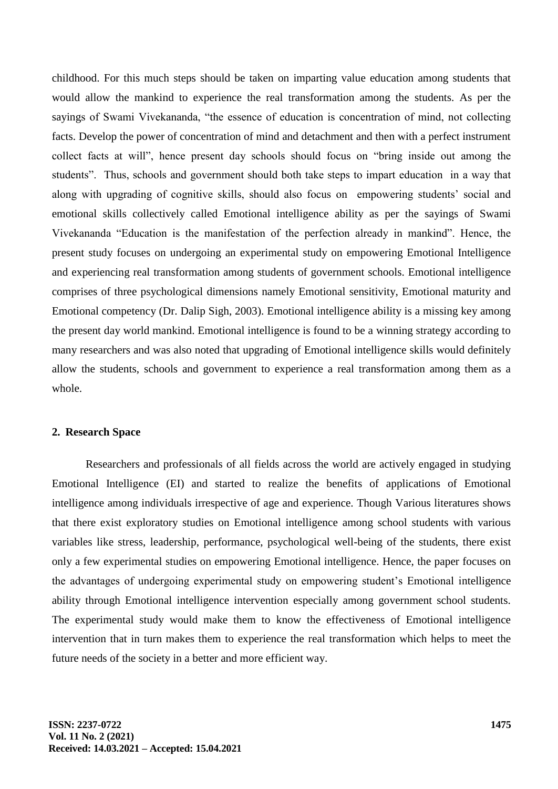childhood. For this much steps should be taken on imparting value education among students that would allow the mankind to experience the real transformation among the students. As per the sayings of Swami Vivekananda, "the essence of education is concentration of mind, not collecting facts. Develop the power of concentration of mind and detachment and then with a perfect instrument collect facts at will", hence present day schools should focus on "bring inside out among the students". Thus, schools and government should both take steps to impart education in a way that along with upgrading of cognitive skills, should also focus on empowering students' social and emotional skills collectively called Emotional intelligence ability as per the sayings of Swami Vivekananda "Education is the manifestation of the perfection already in mankind". Hence, the present study focuses on undergoing an experimental study on empowering Emotional Intelligence and experiencing real transformation among students of government schools. Emotional intelligence comprises of three psychological dimensions namely Emotional sensitivity, Emotional maturity and Emotional competency (Dr. Dalip Sigh, 2003). Emotional intelligence ability is a missing key among the present day world mankind. Emotional intelligence is found to be a winning strategy according to many researchers and was also noted that upgrading of Emotional intelligence skills would definitely allow the students, schools and government to experience a real transformation among them as a whole.

#### **2. Research Space**

Researchers and professionals of all fields across the world are actively engaged in studying Emotional Intelligence (EI) and started to realize the benefits of applications of Emotional intelligence among individuals irrespective of age and experience. Though Various literatures shows that there exist exploratory studies on Emotional intelligence among school students with various variables like stress, leadership, performance, psychological well-being of the students, there exist only a few experimental studies on empowering Emotional intelligence. Hence, the paper focuses on the advantages of undergoing experimental study on empowering student's Emotional intelligence ability through Emotional intelligence intervention especially among government school students. The experimental study would make them to know the effectiveness of Emotional intelligence intervention that in turn makes them to experience the real transformation which helps to meet the future needs of the society in a better and more efficient way.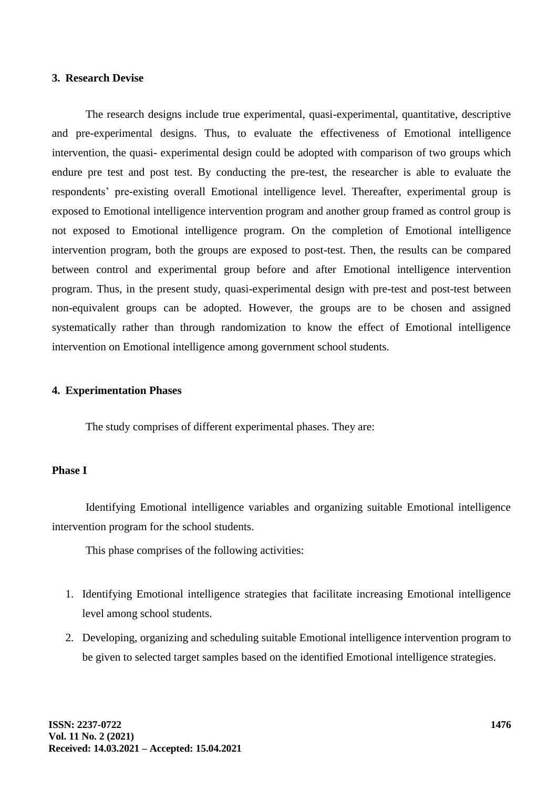#### **3. Research Devise**

The research designs include true experimental, quasi-experimental, quantitative, descriptive and pre-experimental designs. Thus, to evaluate the effectiveness of Emotional intelligence intervention, the quasi- experimental design could be adopted with comparison of two groups which endure pre test and post test. By conducting the pre-test, the researcher is able to evaluate the respondents' pre-existing overall Emotional intelligence level. Thereafter, experimental group is exposed to Emotional intelligence intervention program and another group framed as control group is not exposed to Emotional intelligence program. On the completion of Emotional intelligence intervention program, both the groups are exposed to post-test. Then, the results can be compared between control and experimental group before and after Emotional intelligence intervention program. Thus, in the present study, quasi-experimental design with pre-test and post-test between non-equivalent groups can be adopted. However, the groups are to be chosen and assigned systematically rather than through randomization to know the effect of Emotional intelligence intervention on Emotional intelligence among government school students.

#### **4. Experimentation Phases**

The study comprises of different experimental phases. They are:

# **Phase I**

Identifying Emotional intelligence variables and organizing suitable Emotional intelligence intervention program for the school students.

This phase comprises of the following activities:

- 1. Identifying Emotional intelligence strategies that facilitate increasing Emotional intelligence level among school students.
- 2. Developing, organizing and scheduling suitable Emotional intelligence intervention program to be given to selected target samples based on the identified Emotional intelligence strategies.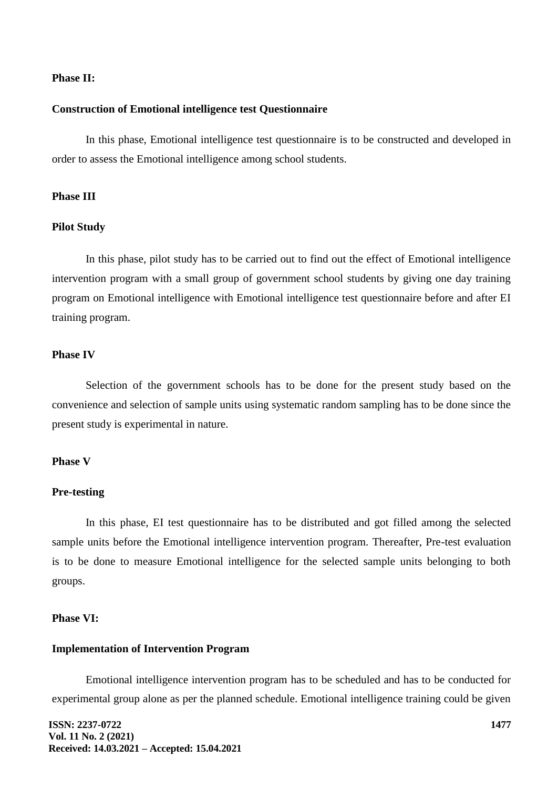### **Phase II:**

#### **Construction of Emotional intelligence test Questionnaire**

In this phase, Emotional intelligence test questionnaire is to be constructed and developed in order to assess the Emotional intelligence among school students.

# **Phase III**

#### **Pilot Study**

In this phase, pilot study has to be carried out to find out the effect of Emotional intelligence intervention program with a small group of government school students by giving one day training program on Emotional intelligence with Emotional intelligence test questionnaire before and after EI training program.

#### **Phase IV**

Selection of the government schools has to be done for the present study based on the convenience and selection of sample units using systematic random sampling has to be done since the present study is experimental in nature.

### **Phase V**

#### **Pre-testing**

In this phase, EI test questionnaire has to be distributed and got filled among the selected sample units before the Emotional intelligence intervention program. Thereafter, Pre-test evaluation is to be done to measure Emotional intelligence for the selected sample units belonging to both groups.

#### **Phase VI:**

#### **Implementation of Intervention Program**

Emotional intelligence intervention program has to be scheduled and has to be conducted for experimental group alone as per the planned schedule. Emotional intelligence training could be given

**ISSN: 2237-0722 Vol. 11 No. 2 (2021) Received: 14.03.2021 – Accepted: 15.04.2021**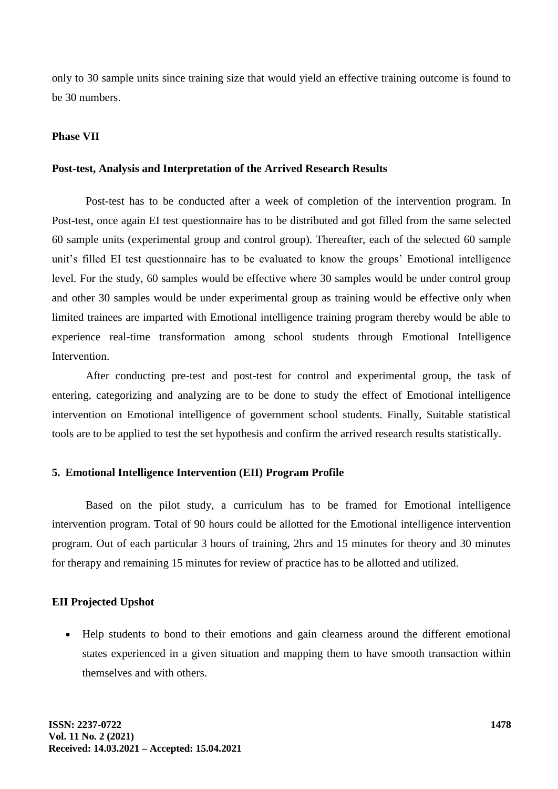only to 30 sample units since training size that would yield an effective training outcome is found to be 30 numbers.

#### **Phase VII**

#### **Post-test, Analysis and Interpretation of the Arrived Research Results**

Post-test has to be conducted after a week of completion of the intervention program. In Post-test, once again EI test questionnaire has to be distributed and got filled from the same selected 60 sample units (experimental group and control group). Thereafter, each of the selected 60 sample unit's filled EI test questionnaire has to be evaluated to know the groups' Emotional intelligence level. For the study, 60 samples would be effective where 30 samples would be under control group and other 30 samples would be under experimental group as training would be effective only when limited trainees are imparted with Emotional intelligence training program thereby would be able to experience real-time transformation among school students through Emotional Intelligence Intervention.

After conducting pre-test and post-test for control and experimental group, the task of entering, categorizing and analyzing are to be done to study the effect of Emotional intelligence intervention on Emotional intelligence of government school students. Finally, Suitable statistical tools are to be applied to test the set hypothesis and confirm the arrived research results statistically.

## **5. Emotional Intelligence Intervention (EII) Program Profile**

Based on the pilot study, a curriculum has to be framed for Emotional intelligence intervention program. Total of 90 hours could be allotted for the Emotional intelligence intervention program. Out of each particular 3 hours of training, 2hrs and 15 minutes for theory and 30 minutes for therapy and remaining 15 minutes for review of practice has to be allotted and utilized.

# **EII Projected Upshot**

 Help students to bond to their emotions and gain clearness around the different emotional states experienced in a given situation and mapping them to have smooth transaction within themselves and with others.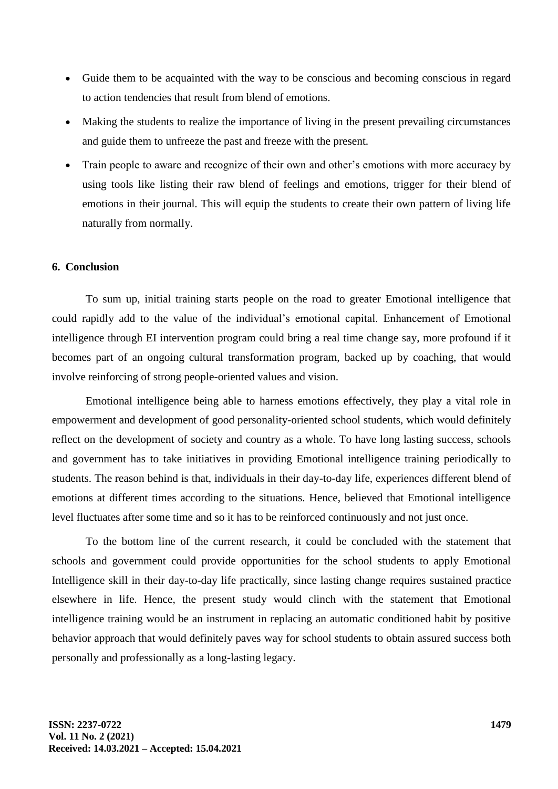- Guide them to be acquainted with the way to be conscious and becoming conscious in regard to action tendencies that result from blend of emotions.
- Making the students to realize the importance of living in the present prevailing circumstances and guide them to unfreeze the past and freeze with the present.
- Train people to aware and recognize of their own and other's emotions with more accuracy by using tools like listing their raw blend of feelings and emotions, trigger for their blend of emotions in their journal. This will equip the students to create their own pattern of living life naturally from normally.

## **6. Conclusion**

To sum up, initial training starts people on the road to greater Emotional intelligence that could rapidly add to the value of the individual's emotional capital. Enhancement of Emotional intelligence through EI intervention program could bring a real time change say, more profound if it becomes part of an ongoing cultural transformation program, backed up by coaching, that would involve reinforcing of strong people-oriented values and vision.

Emotional intelligence being able to harness emotions effectively, they play a vital role in empowerment and development of good personality-oriented school students, which would definitely reflect on the development of society and country as a whole. To have long lasting success, schools and government has to take initiatives in providing Emotional intelligence training periodically to students. The reason behind is that, individuals in their day-to-day life, experiences different blend of emotions at different times according to the situations. Hence, believed that Emotional intelligence level fluctuates after some time and so it has to be reinforced continuously and not just once.

To the bottom line of the current research, it could be concluded with the statement that schools and government could provide opportunities for the school students to apply Emotional Intelligence skill in their day-to-day life practically, since lasting change requires sustained practice elsewhere in life. Hence, the present study would clinch with the statement that Emotional intelligence training would be an instrument in replacing an automatic conditioned habit by positive behavior approach that would definitely paves way for school students to obtain assured success both personally and professionally as a long-lasting legacy.